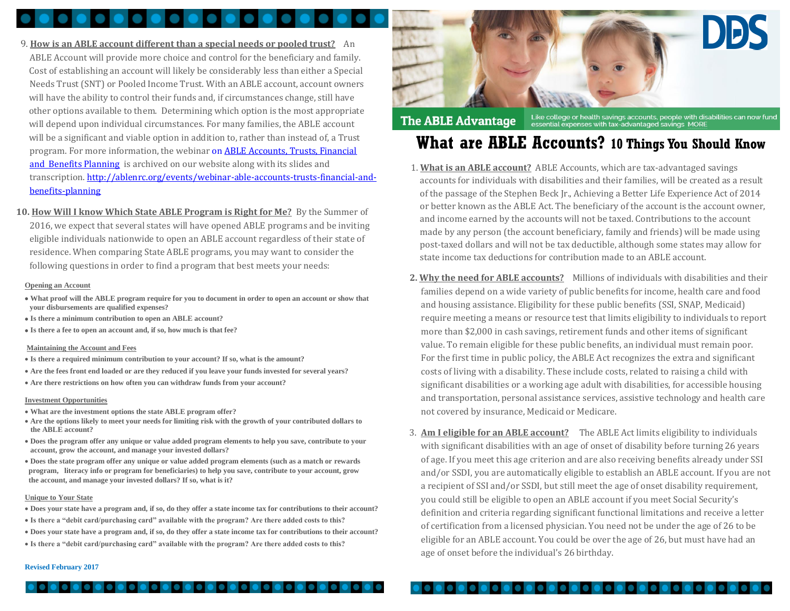- 9. **How is an ABLE account different than a special needs or pooled trust?** An ABLE Account will provide more choice and control for the beneficiary and family. Cost of establishing an account will likely be considerably less than either a Special Needs Trust (SNT) or Pooled Income Trust. With an ABLE account, account owners will have the ability to control their funds and, if circumstances change, still have other options available to them. Determining which option is the most appropriate will depend upon individual circumstances. For many families, the ABLE account will be a significant and viable option in addition to, rather than instead of, a Trust program. For more information, the webinar on **ABLE Accounts, Trusts, Financial** [and Benefits Planning](http://ablenrc.org/events/webinar-able-accounts-trusts-financial-and-benefits-planning) is archived on our website along with its slides and transcription[. http://ablenrc.org/events/webinar-able-accounts-trusts-financial-and](http://ablenrc.org/events/webinar-able-accounts-trusts-financial-and-benefits-planning)[benefits-planning](http://ablenrc.org/events/webinar-able-accounts-trusts-financial-and-benefits-planning)
- **10. How Will I know Which State ABLE Program is Right for Me?** By the Summer of 2016, we expect that several states will have opened ABLE programs and be inviting eligible individuals nationwide to open an ABLE account regardless of their state of residence. When comparing State ABLE programs, you may want to consider the following questions in order to find a program that best meets your needs:

## **Opening an Account**

- **What proof will the ABLE program require for you to document in order to open an account or show that your disbursements are qualified expenses?**
- **Is there a minimum contribution to open an ABLE account?**
- **Is there a fee to open an account and, if so, how much is that fee?**

# **Maintaining the Account and Fees**

- **Is there a required minimum contribution to your account? If so, what is the amount?**
- **Are the fees front end loaded or are they reduced if you leave your funds invested for several years?**
- **Are there restrictions on how often you can withdraw funds from your account?**

# **Investment Opportunities**

- **What are the investment options the state ABLE program offer?**
- **Are the options likely to meet your needs for limiting risk with the growth of your contributed dollars to the ABLE account?**
- **Does the program offer any unique or value added program elements to help you save, contribute to your account, grow the account, and manage your invested dollars?**
- **Does the state program offer any unique or value added program elements (such as a match or rewards program, literacy info or program for beneficiaries) to help you save, contribute to your account, grow the account, and manage your invested dollars? If so, what is it?**

# **Unique to Your State**

- **Does your state have a program and, if so, do they offer a state income tax for contributions to their account?**
- **Is there a "debit card/purchasing card" available with the program? Are there added costs to this?**
- **Does your state have a program and, if so, do they offer a state income tax for contributions to their account?**
- **Is there a "debit card/purchasing card" available with the program? Are there added costs to this?**



## Like college or health savings accounts, people with disabilities can now fund<br>essential expenses with tax-advantaged savings MORE **The ABLE Advantage**

# **What are ABLE Accounts? 10 Things You Should Know**

- 1. **What is an ABLE account?** ABLE Accounts, which are tax-advantaged savings accounts for individuals with disabilities and their families, will be created as a result of the passage of the Stephen Beck Jr., Achieving a Better Life Experience Act of 2014 or better known as the ABLE Act. The beneficiary of the account is the account owner, and income earned by the accounts will not be taxed. Contributions to the account made by any person (the account beneficiary, family and friends) will be made using post-taxed dollars and will not be tax deductible, although some states may allow for state income tax deductions for contribution made to an ABLE account.
- **2. Why the need for ABLE accounts?** Millions of individuals with disabilities and their families depend on a wide variety of public benefits for income, health care and food and housing assistance. Eligibility for these public benefits (SSI, SNAP, Medicaid) require meeting a means or resource test that limits eligibility to individuals to report more than \$2,000 in cash savings, retirement funds and other items of significant value. To remain eligible for these public benefits, an individual must remain poor. For the first time in public policy, the ABLE Act recognizes the extra and significant costs of living with a disability. These include costs, related to raising a child with significant disabilities or a working age adult with disabilities, for accessible housing and transportation, personal assistance services, assistive technology and health care not covered by insurance, Medicaid or Medicare.
- 3. **Am I eligible for an ABLE account?** The ABLE Act limits eligibility to individuals with significant disabilities with an age of onset of disability before turning 26 years of age. If you meet this age criterion and are also receiving benefits already under SSI and/or SSDI, you are automatically eligible to establish an ABLE account. If you are not a recipient of SSI and/or SSDI, but still meet the age of onset disability requirement, you could still be eligible to open an ABLE account if you meet Social Security's definition and criteria regarding significant functional limitations and receive a letter of certification from a licensed physician. You need not be under the age of 26 to be eligible for an ABLE account. You could be over the age of 26, but must have had an age of onset before the individual's 26 birthday.

# **Revised February 2017**